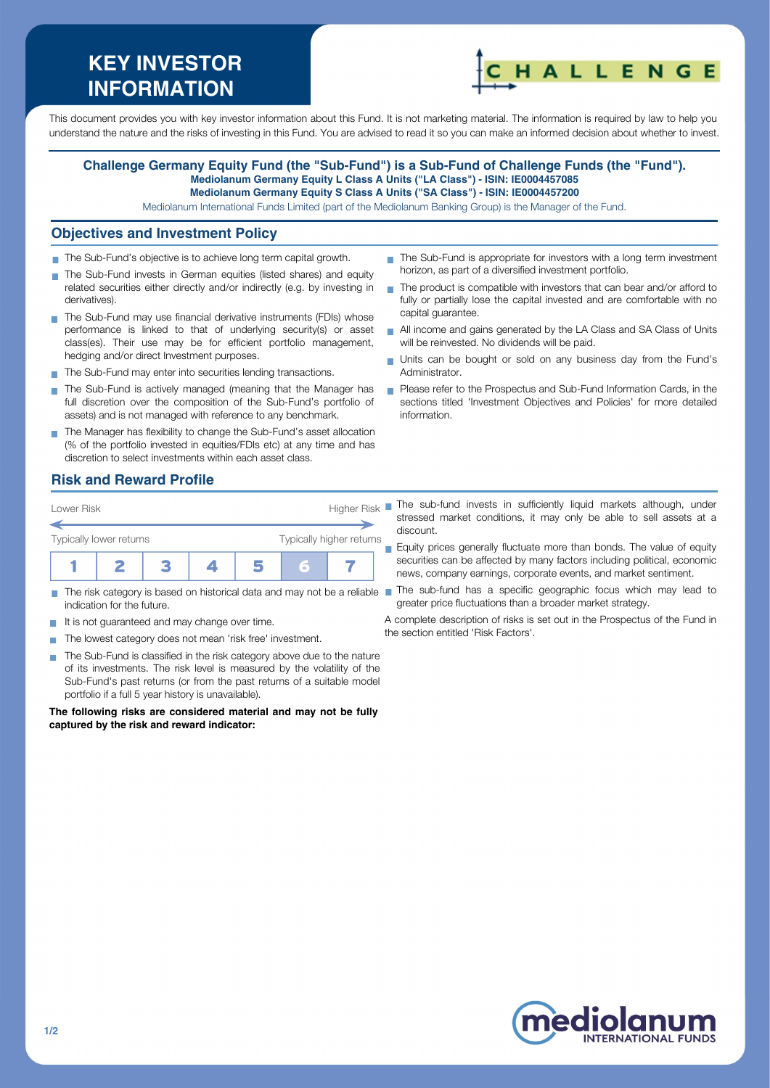# **KEY INVESTOR INFORMATION**



This document provides you with key investor information about this Fund. It is not marketing material. The information is required by law to help you understand the nature and the risks of investing in this Fund. You are advised to read it so you can make an informed decision about whether to invest.

#### **Challenge Germany Equity Fund (the "Sub-Fund") is a Sub-Fund of Challenge Funds (the "Fund"). Mediolanum Germany Equity L Class A Units ("LA Class") - ISIN: IE0004457085 Mediolanum Germany Equity S Class A Units ("SA Class") - ISIN: IE0004457200**

Mediolanum International Funds Limited (part of the Mediolanum Banking Group) is the Manager of the Fund.

#### **Objectives and Investment Policy**

- The Sub-Fund's objective is to achieve long term capital growth.
- The Sub-Fund invests in German equities (listed shares) and equity related securities either directly and/or indirectly (e.g. by investing in derivatives).
- The Sub-Fund may use financial derivative instruments (FDIs) whose performance is linked to that of underlying security(s) or asset class(es). Their use may be for efficient portfolio management, hedging and/or direct Investment purposes.
- The Sub-Fund may enter into securities lending transactions.
- The Sub-Fund is actively managed (meaning that the Manager has full discretion over the composition of the Sub-Fund's portfolio of assets) and is not managed with reference to any benchmark.
- The Manager has flexibility to change the Sub-Fund's asset allocation (% of the portfolio invested in equities/FDIs etc) at any time and has discretion to select investments within each asset class.

### **Risk and Reward Profile**

| Lower Risk              |  |                          |  |   | <b>Higher Risk</b> |  |
|-------------------------|--|--------------------------|--|---|--------------------|--|
| Typically lower returns |  | Typically higher returns |  |   |                    |  |
|                         |  |                          |  | Ξ |                    |  |

- $\sim$ indication for the future.
- It is not guaranteed and may change over time.
- The lowest category does not mean 'risk free' investment.  $\sim$
- The Sub-Fund is classified in the risk category above due to the nature of its investments. The risk level is measured by the volatility of the Sub-Fund's past returns (or from the past returns of a suitable model portfolio if a full 5 year history is unavailable).

**The following risks are considered material and may not be fully captured by the risk and reward indicator:**

- The Sub-Fund is appropriate for investors with a long term investment horizon, as part of a diversified investment portfolio.
- The product is compatible with investors that can bear and/or afford to fully or partially lose the capital invested and are comfortable with no capital guarantee.
- All income and gains generated by the LA Class and SA Class of Units will be reinvested. No dividends will be paid.
- Units can be bought or sold on any business day from the Fund's Administrator.
- Please refer to the Prospectus and Sub-Fund Information Cards, in the sections titled 'Investment Objectives and Policies' for more detailed information.
- The sub-fund invests in sufficiently liquid markets although, under stressed market conditions, it may only be able to sell assets at a discount.

Equity prices generally fluctuate more than bonds. The value of equity securities can be affected by many factors including political, economic news, company earnings, corporate events, and market sentiment.

The risk category is based on historical data and may not be a reliable The sub-fund has a specific geographic focus which may lead to greater price fluctuations than a broader market strategy.

> A complete description of risks is set out in the Prospectus of the Fund in the section entitled 'Risk Factors'.